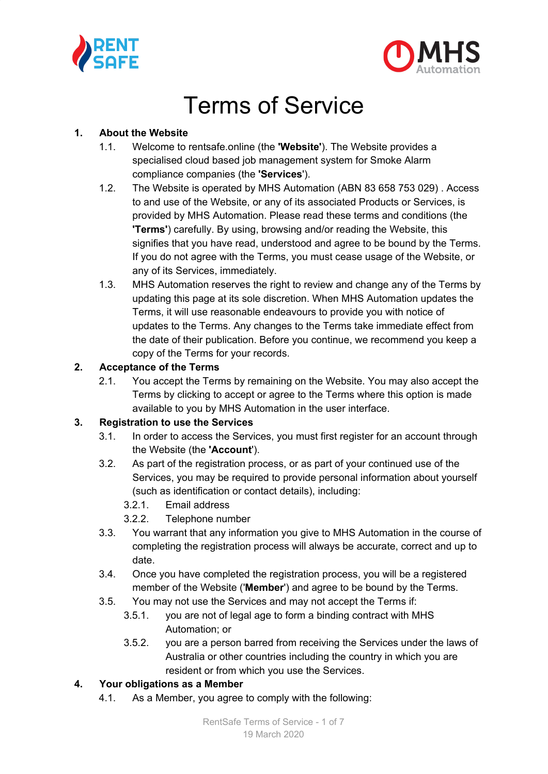



# Terms of Service

#### **1. About the Website**

- 1.1. Welcome to rentsafe.online (the **'Website'**). The Website provides a specialised cloud based job management system for Smoke Alarm compliance companies (the **'Services**').
- 1.2. The Website is operated by MHS Automation (ABN 83 658 753 029) . Access to and use of the Website, or any of its associated Products or Services, is provided by MHS Automation. Please read these terms and conditions (the **'Terms'**) carefully. By using, browsing and/or reading the Website, this signifies that you have read, understood and agree to be bound by the Terms. If you do not agree with the Terms, you must cease usage of the Website, or any of its Services, immediately.
- 1.3. MHS Automation reserves the right to review and change any of the Terms by updating this page at its sole discretion. When MHS Automation updates the Terms, it will use reasonable endeavours to provide you with notice of updates to the Terms. Any changes to the Terms take immediate effect from the date of their publication. Before you continue, we recommend you keep a copy of the Terms for your records.

#### **2. Acceptance of the Terms**

2.1. You accept the Terms by remaining on the Website. You may also accept the Terms by clicking to accept or agree to the Terms where this option is made available to you by MHS Automation in the user interface.

#### **3. Registration to use the Services**

- 3.1. In order to access the Services, you must first register for an account through the Website (the **'Account**').
- 3.2. As part of the registration process, or as part of your continued use of the Services, you may be required to provide personal information about yourself (such as identification or contact details), including:
	- 3.2.1. Email address
	- 3.2.2. Telephone number
- 3.3. You warrant that any information you give to MHS Automation in the course of completing the registration process will always be accurate, correct and up to date.
- 3.4. Once you have completed the registration process, you will be a registered member of the Website ('**Member**') and agree to be bound by the Terms.
- 3.5. You may not use the Services and may not accept the Terms if:
	- 3.5.1. you are not of legal age to form a binding contract with MHS Automation; or
	- 3.5.2. you are a person barred from receiving the Services under the laws of Australia or other countries including the country in which you are resident or from which you use the Services.

## **4. Your obligations as a Member**

4.1. As a Member, you agree to comply with the following: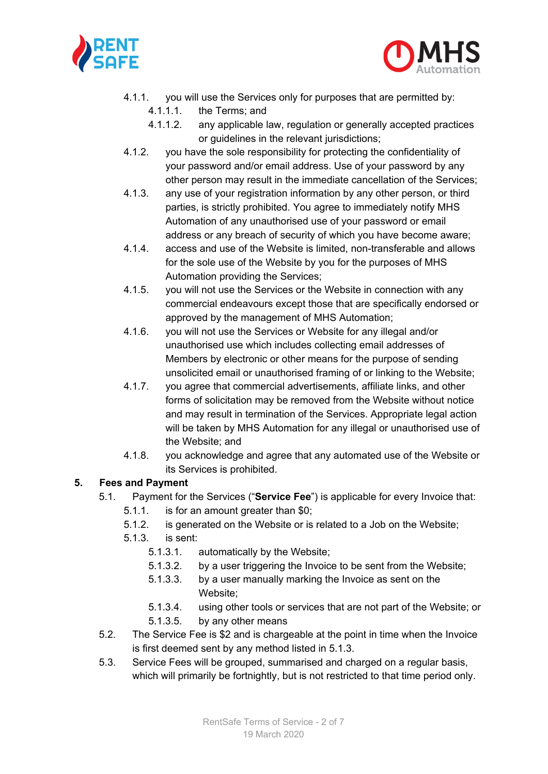



- 4.1.1. you will use the Services only for purposes that are permitted by:
	- 4.1.1.1. the Terms; and
	- 4.1.1.2. any applicable law, regulation or generally accepted practices or guidelines in the relevant jurisdictions;
- 4.1.2. you have the sole responsibility for protecting the confidentiality of your password and/or email address. Use of your password by any other person may result in the immediate cancellation of the Services;
- 4.1.3. any use of your registration information by any other person, or third parties, is strictly prohibited. You agree to immediately notify MHS Automation of any unauthorised use of your password or email address or any breach of security of which you have become aware;
- 4.1.4. access and use of the Website is limited, non-transferable and allows for the sole use of the Website by you for the purposes of MHS Automation providing the Services;
- 4.1.5. you will not use the Services or the Website in connection with any commercial endeavours except those that are specifically endorsed or approved by the management of MHS Automation;
- 4.1.6. you will not use the Services or Website for any illegal and/or unauthorised use which includes collecting email addresses of Members by electronic or other means for the purpose of sending unsolicited email or unauthorised framing of or linking to the Website;
- 4.1.7. you agree that commercial advertisements, affiliate links, and other forms of solicitation may be removed from the Website without notice and may result in termination of the Services. Appropriate legal action will be taken by MHS Automation for any illegal or unauthorised use of the Website; and
- 4.1.8. you acknowledge and agree that any automated use of the Website or its Services is prohibited.

#### **5. Fees and Payment**

- 5.1. Payment for the Services ("**Service Fee**") is applicable for every Invoice that:
	- 5.1.1. is for an amount greater than \$0;
	- 5.1.2. is generated on the Website or is related to a Job on the Website;
	- 5.1.3. is sent:
		- 5.1.3.1. automatically by the Website;
		- 5.1.3.2. by a user triggering the Invoice to be sent from the Website;
		- 5.1.3.3. by a user manually marking the Invoice as sent on the Website;
		- 5.1.3.4. using other tools or services that are not part of the Website; or
		- 5.1.3.5. by any other means
- 5.2. The Service Fee is \$2 and is chargeable at the point in time when the Invoice is first deemed sent by any method listed in 5.1.3.
- 5.3. Service Fees will be grouped, summarised and charged on a regular basis, which will primarily be fortnightly, but is not restricted to that time period only.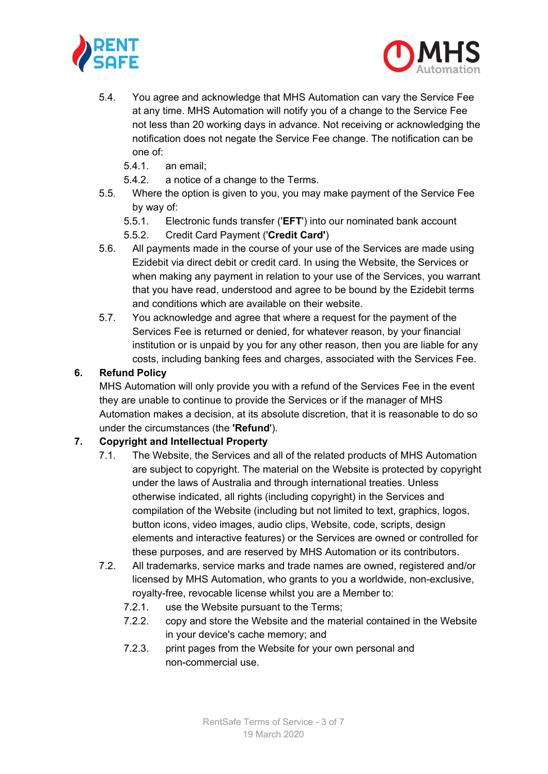



- 5.4. You agree and acknowledge that MHS Automation can vary the Service Fee at any time. MHS Automation will notify you of a change to the Service Fee not less than 20 working days in advance. Not receiving or acknowledging the notification does not negate the Service Fee change. The notification can be one of:
	- 5.4.1. an email;
	- 5.4.2. a notice of a change to the Terms.
- 5.5. Where the option is given to you, you may make payment of the Service Fee by way of:
	- 5.5.1. Electronic funds transfer ('**EFT**') into our nominated bank account
	- 5.5.2. Credit Card Payment ('**Credit Card'**)
- 5.6. All payments made in the course of your use of the Services are made using Ezidebit via direct debit or credit card. In using the Website, the Services or when making any payment in relation to your use of the Services, you warrant that you have read, understood and agree to be bound by the Ezidebit terms and conditions which are available on their website.
- 5.7. You acknowledge and agree that where a request for the payment of the Services Fee is returned or denied, for whatever reason, by your financial institution or is unpaid by you for any other reason, then you are liable for any costs, including banking fees and charges, associated with the Services Fee.

#### **6. Refund Policy**

MHS Automation will only provide you with a refund of the Services Fee in the event they are unable to continue to provide the Services or if the manager of MHS Automation makes a decision, at its absolute discretion, that it is reasonable to do so under the circumstances (the **'Refund**').

## **7. Copyright and Intellectual Property**

- 7.1. The Website, the Services and all of the related products of MHS Automation are subject to copyright. The material on the Website is protected by copyright under the laws of Australia and through international treaties. Unless otherwise indicated, all rights (including copyright) in the Services and compilation of the Website (including but not limited to text, graphics, logos, button icons, video images, audio clips, Website, code, scripts, design elements and interactive features) or the Services are owned or controlled for these purposes, and are reserved by MHS Automation or its contributors.
- 7.2. All trademarks, service marks and trade names are owned, registered and/or licensed by MHS Automation, who grants to you a worldwide, non-exclusive, royalty-free, revocable license whilst you are a Member to:
	- 7.2.1. use the Website pursuant to the Terms;
	- 7.2.2. copy and store the Website and the material contained in the Website in your device's cache memory; and
	- 7.2.3. print pages from the Website for your own personal and non-commercial use.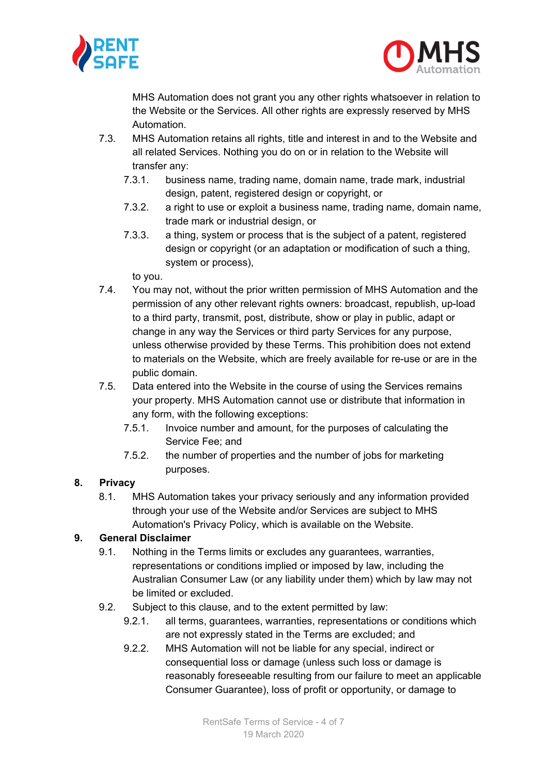



MHS Automation does not grant you any other rights whatsoever in relation to the Website or the Services. All other rights are expressly reserved by MHS Automation.

- 7.3. MHS Automation retains all rights, title and interest in and to the Website and all related Services. Nothing you do on or in relation to the Website will transfer any:
	- 7.3.1. business name, trading name, domain name, trade mark, industrial design, patent, registered design or copyright, or
	- 7.3.2. a right to use or exploit a business name, trading name, domain name, trade mark or industrial design, or
	- 7.3.3. a thing, system or process that is the subject of a patent, registered design or copyright (or an adaptation or modification of such a thing, system or process),

to you.

- 7.4. You may not, without the prior written permission of MHS Automation and the permission of any other relevant rights owners: broadcast, republish, up-load to a third party, transmit, post, distribute, show or play in public, adapt or change in any way the Services or third party Services for any purpose, unless otherwise provided by these Terms. This prohibition does not extend to materials on the Website, which are freely available for re-use or are in the public domain.
- 7.5. Data entered into the Website in the course of using the Services remains your property. MHS Automation cannot use or distribute that information in any form, with the following exceptions:
	- 7.5.1. Invoice number and amount, for the purposes of calculating the Service Fee; and
	- 7.5.2. the number of properties and the number of jobs for marketing purposes.

## **8. Privacy**

8.1. MHS Automation takes your privacy seriously and any information provided through your use of the Website and/or Services are subject to MHS Automation's Privacy Policy, which is available on the Website.

## **9. General Disclaimer**

- 9.1. Nothing in the Terms limits or excludes any guarantees, warranties, representations or conditions implied or imposed by law, including the Australian Consumer Law (or any liability under them) which by law may not be limited or excluded.
- 9.2. Subject to this clause, and to the extent permitted by law:
	- 9.2.1. all terms, guarantees, warranties, representations or conditions which are not expressly stated in the Terms are excluded; and
	- 9.2.2. MHS Automation will not be liable for any special, indirect or consequential loss or damage (unless such loss or damage is reasonably foreseeable resulting from our failure to meet an applicable Consumer Guarantee), loss of profit or opportunity, or damage to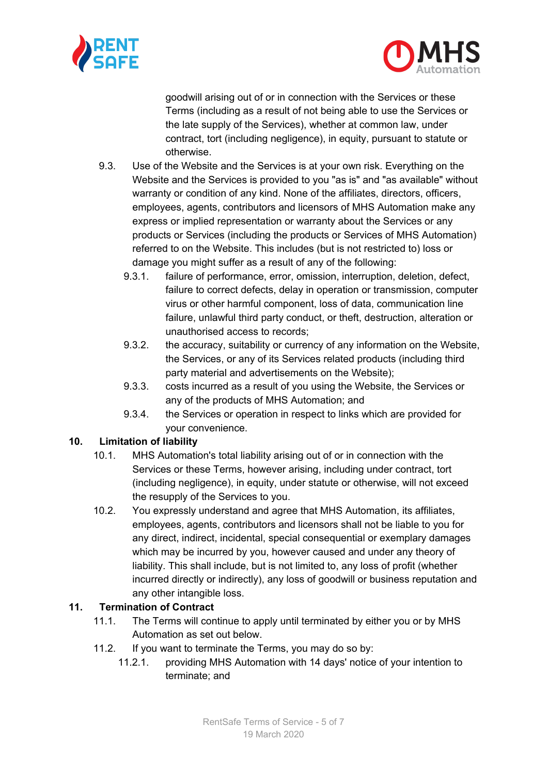



goodwill arising out of or in connection with the Services or these Terms (including as a result of not being able to use the Services or the late supply of the Services), whether at common law, under contract, tort (including negligence), in equity, pursuant to statute or otherwise.

- 9.3. Use of the Website and the Services is at your own risk. Everything on the Website and the Services is provided to you "as is" and "as available" without warranty or condition of any kind. None of the affiliates, directors, officers, employees, agents, contributors and licensors of MHS Automation make any express or implied representation or warranty about the Services or any products or Services (including the products or Services of MHS Automation) referred to on the Website. This includes (but is not restricted to) loss or damage you might suffer as a result of any of the following:
	- 9.3.1. failure of performance, error, omission, interruption, deletion, defect, failure to correct defects, delay in operation or transmission, computer virus or other harmful component, loss of data, communication line failure, unlawful third party conduct, or theft, destruction, alteration or unauthorised access to records;
	- 9.3.2. the accuracy, suitability or currency of any information on the Website, the Services, or any of its Services related products (including third party material and advertisements on the Website);
	- 9.3.3. costs incurred as a result of you using the Website, the Services or any of the products of MHS Automation; and
	- 9.3.4. the Services or operation in respect to links which are provided for your convenience.

## **10. Limitation of liability**

- 10.1. MHS Automation's total liability arising out of or in connection with the Services or these Terms, however arising, including under contract, tort (including negligence), in equity, under statute or otherwise, will not exceed the resupply of the Services to you.
- 10.2. You expressly understand and agree that MHS Automation, its affiliates, employees, agents, contributors and licensors shall not be liable to you for any direct, indirect, incidental, special consequential or exemplary damages which may be incurred by you, however caused and under any theory of liability. This shall include, but is not limited to, any loss of profit (whether incurred directly or indirectly), any loss of goodwill or business reputation and any other intangible loss.

## **11. Termination of Contract**

- 11.1. The Terms will continue to apply until terminated by either you or by MHS Automation as set out below.
- 11.2. If you want to terminate the Terms, you may do so by:
	- 11.2.1. providing MHS Automation with 14 days' notice of your intention to terminate; and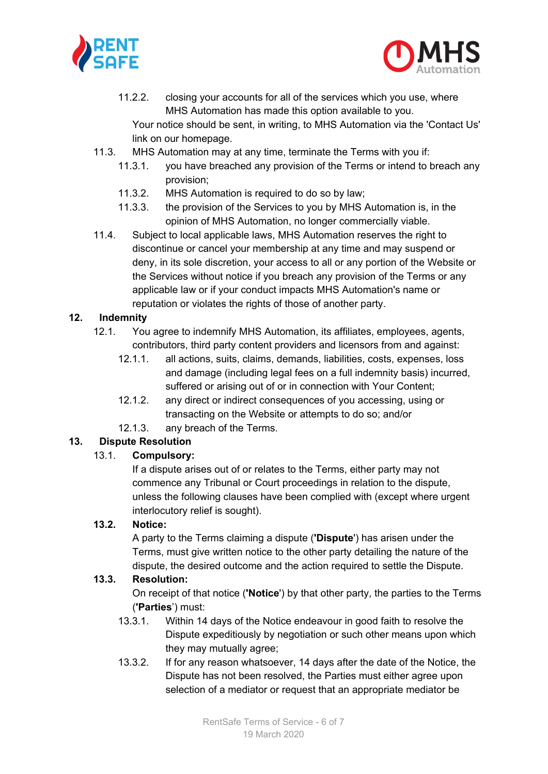



11.2.2. closing your accounts for all of the services which you use, where MHS Automation has made this option available to you.

Your notice should be sent, in writing, to MHS Automation via the 'Contact Us' link on our homepage.

- 11.3. MHS Automation may at any time, terminate the Terms with you if:
	- 11.3.1. you have breached any provision of the Terms or intend to breach any provision;
	- 11.3.2. MHS Automation is required to do so by law;
	- 11.3.3. the provision of the Services to you by MHS Automation is, in the opinion of MHS Automation, no longer commercially viable.
- 11.4. Subject to local applicable laws, MHS Automation reserves the right to discontinue or cancel your membership at any time and may suspend or deny, in its sole discretion, your access to all or any portion of the Website or the Services without notice if you breach any provision of the Terms or any applicable law or if your conduct impacts MHS Automation's name or reputation or violates the rights of those of another party.

#### **12. Indemnity**

- 12.1. You agree to indemnify MHS Automation, its affiliates, employees, agents, contributors, third party content providers and licensors from and against:
	- 12.1.1. all actions, suits, claims, demands, liabilities, costs, expenses, loss and damage (including legal fees on a full indemnity basis) incurred, suffered or arising out of or in connection with Your Content;
	- 12.1.2. any direct or indirect consequences of you accessing, using or transacting on the Website or attempts to do so; and/or
	- 12.1.3. any breach of the Terms.

## **13. Dispute Resolution**

#### 13.1. **Compulsory:**

If a dispute arises out of or relates to the Terms, either party may not commence any Tribunal or Court proceedings in relation to the dispute, unless the following clauses have been complied with (except where urgent interlocutory relief is sought).

#### **13.2. Notice:**

A party to the Terms claiming a dispute (**'Dispute**') has arisen under the Terms, must give written notice to the other party detailing the nature of the dispute, the desired outcome and the action required to settle the Dispute.

#### **13.3. Resolution:**

On receipt of that notice (**'Notice**') by that other party, the parties to the Terms (**'Parties**') must:

- 13.3.1. Within 14 days of the Notice endeavour in good faith to resolve the Dispute expeditiously by negotiation or such other means upon which they may mutually agree;
- 13.3.2. If for any reason whatsoever, 14 days after the date of the Notice, the Dispute has not been resolved, the Parties must either agree upon selection of a mediator or request that an appropriate mediator be